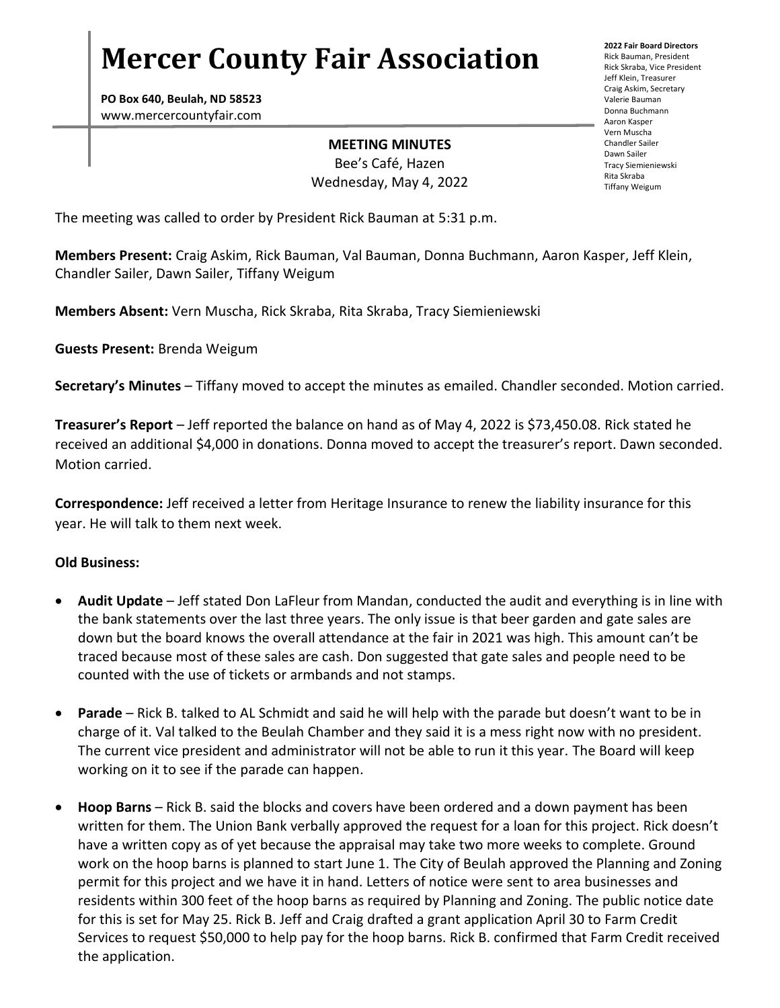# **Mercer County Fair Association**

**PO Box 640, Beulah, ND 58523** www.mercercountyfair.com

#### **MEETING MINUTES**

Bee's Café, Hazen Wednesday, May 4, 2022 **2022 Fair Board Directors** Rick Bauman, President Rick Skraba, Vice President Jeff Klein, Treasurer Craig Askim, Secretary Valerie Bauman Donna Buchmann Aaron Kasper Vern Muscha Chandler Sailer Dawn Sailer Tracy Siemieniewski Rita Skraba Tiffany Weigum

The meeting was called to order by President Rick Bauman at 5:31 p.m.

**Members Present:** Craig Askim, Rick Bauman, Val Bauman, Donna Buchmann, Aaron Kasper, Jeff Klein, Chandler Sailer, Dawn Sailer, Tiffany Weigum

**Members Absent:** Vern Muscha, Rick Skraba, Rita Skraba, Tracy Siemieniewski

**Guests Present:** Brenda Weigum

**Secretary's Minutes** – Tiffany moved to accept the minutes as emailed. Chandler seconded. Motion carried.

**Treasurer's Report** – Jeff reported the balance on hand as of May 4, 2022 is \$73,450.08. Rick stated he received an additional \$4,000 in donations. Donna moved to accept the treasurer's report. Dawn seconded. Motion carried.

**Correspondence:** Jeff received a letter from Heritage Insurance to renew the liability insurance for this year. He will talk to them next week.

### **Old Business:**

- **Audit Update**  Jeff stated Don LaFleur from Mandan, conducted the audit and everything is in line with the bank statements over the last three years. The only issue is that beer garden and gate sales are down but the board knows the overall attendance at the fair in 2021 was high. This amount can't be traced because most of these sales are cash. Don suggested that gate sales and people need to be counted with the use of tickets or armbands and not stamps.
- **Parade** Rick B. talked to AL Schmidt and said he will help with the parade but doesn't want to be in charge of it. Val talked to the Beulah Chamber and they said it is a mess right now with no president. The current vice president and administrator will not be able to run it this year. The Board will keep working on it to see if the parade can happen.
- **Hoop Barns** Rick B. said the blocks and covers have been ordered and a down payment has been written for them. The Union Bank verbally approved the request for a loan for this project. Rick doesn't have a written copy as of yet because the appraisal may take two more weeks to complete. Ground work on the hoop barns is planned to start June 1. The City of Beulah approved the Planning and Zoning permit for this project and we have it in hand. Letters of notice were sent to area businesses and residents within 300 feet of the hoop barns as required by Planning and Zoning. The public notice date for this is set for May 25. Rick B. Jeff and Craig drafted a grant application April 30 to Farm Credit Services to request \$50,000 to help pay for the hoop barns. Rick B. confirmed that Farm Credit received the application.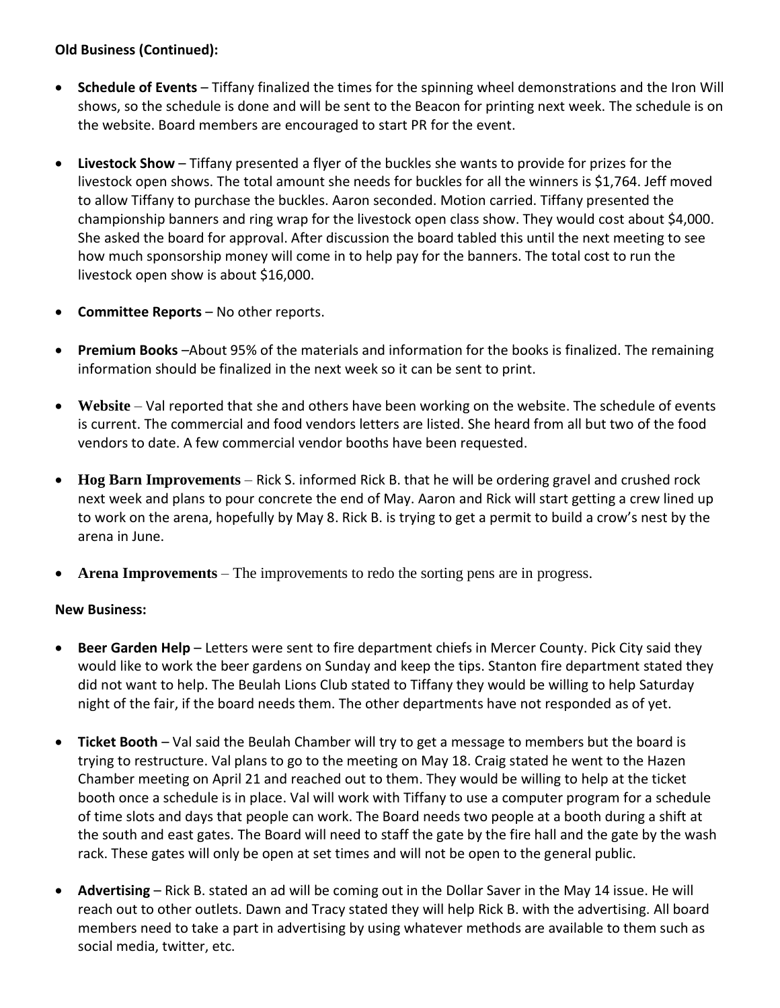# **Old Business (Continued):**

- **Schedule of Events** Tiffany finalized the times for the spinning wheel demonstrations and the Iron Will shows, so the schedule is done and will be sent to the Beacon for printing next week. The schedule is on the website. Board members are encouraged to start PR for the event.
- **Livestock Show** Tiffany presented a flyer of the buckles she wants to provide for prizes for the livestock open shows. The total amount she needs for buckles for all the winners is \$1,764. Jeff moved to allow Tiffany to purchase the buckles. Aaron seconded. Motion carried. Tiffany presented the championship banners and ring wrap for the livestock open class show. They would cost about \$4,000. She asked the board for approval. After discussion the board tabled this until the next meeting to see how much sponsorship money will come in to help pay for the banners. The total cost to run the livestock open show is about \$16,000.
- **Committee Reports** No other reports.
- **Premium Books** –About 95% of the materials and information for the books is finalized. The remaining information should be finalized in the next week so it can be sent to print.
- **Website** Val reported that she and others have been working on the website. The schedule of events is current. The commercial and food vendors letters are listed. She heard from all but two of the food vendors to date. A few commercial vendor booths have been requested.
- **Hog Barn Improvements** Rick S. informed Rick B. that he will be ordering gravel and crushed rock next week and plans to pour concrete the end of May. Aaron and Rick will start getting a crew lined up to work on the arena, hopefully by May 8. Rick B. is trying to get a permit to build a crow's nest by the arena in June.
- **Arena Improvements**  The improvements to redo the sorting pens are in progress.

## **New Business:**

- **Beer Garden Help** Letters were sent to fire department chiefs in Mercer County. Pick City said they would like to work the beer gardens on Sunday and keep the tips. Stanton fire department stated they did not want to help. The Beulah Lions Club stated to Tiffany they would be willing to help Saturday night of the fair, if the board needs them. The other departments have not responded as of yet.
- **Ticket Booth** Val said the Beulah Chamber will try to get a message to members but the board is trying to restructure. Val plans to go to the meeting on May 18. Craig stated he went to the Hazen Chamber meeting on April 21 and reached out to them. They would be willing to help at the ticket booth once a schedule is in place. Val will work with Tiffany to use a computer program for a schedule of time slots and days that people can work. The Board needs two people at a booth during a shift at the south and east gates. The Board will need to staff the gate by the fire hall and the gate by the wash rack. These gates will only be open at set times and will not be open to the general public.
- **Advertising** Rick B. stated an ad will be coming out in the Dollar Saver in the May 14 issue. He will reach out to other outlets. Dawn and Tracy stated they will help Rick B. with the advertising. All board members need to take a part in advertising by using whatever methods are available to them such as social media, twitter, etc.